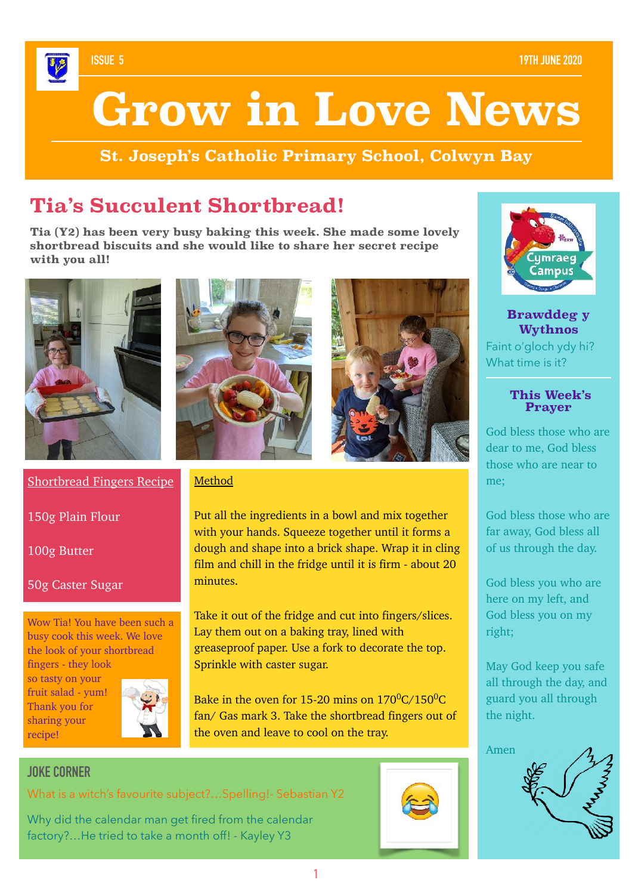### **ISSUE 5 19TH JUNE 2020**

# **Grow in Love News**

**St. Joseph's Catholic Primary School, Colwyn Bay**

## **Tia's Succulent Shortbread!**

**Tia (Y2) has been very busy baking this week. She made some lovely shortbread biscuits and she would like to share her secret recipe with you all!** 





Method

minutes.



Shortbread Fingers Recipe

150g Plain Flour

100g Butter

## 50g Caster Sugar

Wow Tia! You have been such a busy cook this week. We love the look of your shortbread fingers - they look

so tasty on your fruit salad - yum! Thank you for sharing your recipe!



Sprinkle with caster sugar. Bake in the oven for 15-20 mins on  $170^0C/150^0C$ fan/ Gas mark 3. Take the shortbread fingers out of



What is a witch's favourite subject?…Spelling!- Sebastian Y2

Why did the calendar man get fired from the calendar factory?…He tried to take a month off! - Kayley Y3





**Brawddeg y Wythnos**  Faint o'gloch ydy hi? What time is it?

### **This Week's Prayer**

God bless those who are dear to me, God bless those who are near to me;

God bless those who are far away, God bless all of us through the day.

God bless you who are here on my left, and God bless you on my right;

May God keep you safe all through the day, and guard you all through the night.



Put all the ingredients in a bowl and mix together with your hands. Squeeze together until it forms a dough and shape into a brick shape. Wrap it in cling film and chill in the fridge until it is firm - about 20

Take it out of the fridge and cut into fingers/slices.

greaseproof paper. Use a fork to decorate the top.

Lay them out on a baking tray, lined with

the oven and leave to cool on the tray.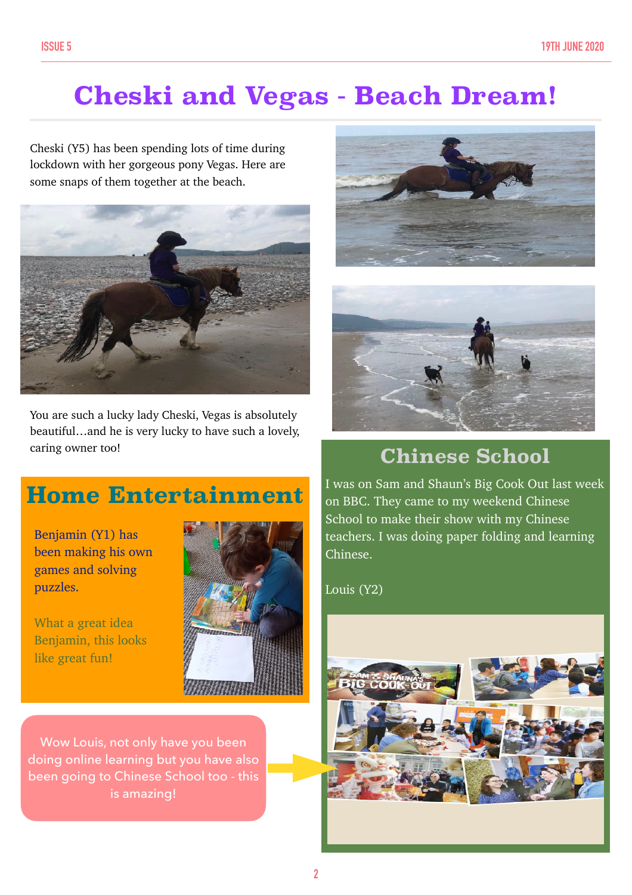# **Cheski and Vegas - Beach Dream!**

Cheski (Y5) has been spending lots of time during lockdown with her gorgeous pony Vegas. Here are some snaps of them together at the beach.



You are such a lucky lady Cheski, Vegas is absolutely beautiful…and he is very lucky to have such a lovely, caring owner too!

## **Home Entertainment**

Benjamin (Y1) has been making his own games and solving puzzles.

What a great idea Benjamin, this looks like great fun!



Wow Louis, not only have you been doing online learning but you have also been going to Chinese School too - this is amazing!





## **Chinese School**

I was on Sam and Shaun's Big Cook Out last week on BBC. They came to my weekend Chinese School to make their show with my Chinese teachers. I was doing paper folding and learning Chinese.

Louis (Y2)

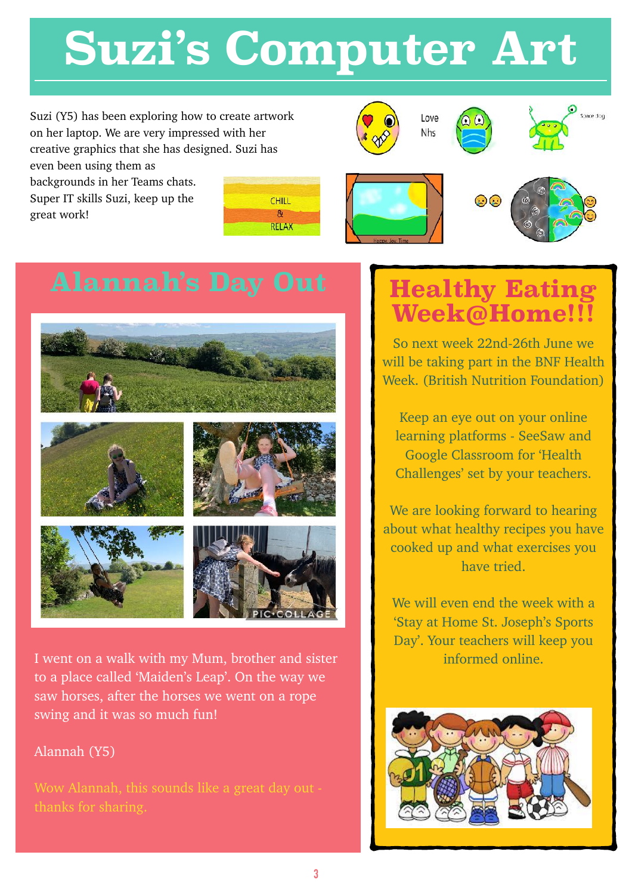# **Suzi's Computer Art**

Suzi (Y5) has been exploring how to create artwork on her laptop. We are very impressed with her creative graphics that she has designed. Suzi has

even been using them as backgrounds in her Teams chats. Super IT skills Suzi, keep up the great work!







 $10Y$ Nhs











I went on a walk with my Mum, brother and sister to a place called 'Maiden's Leap'. On the way we saw horses, after the horses we went on a rope swing and it was so much fun!

## Alannah (Y5)

Wow Alannah, this sounds like a great day out -

# **Healthy Eating Week@Home!!!**

So next week 22nd-26th June we will be taking part in the BNF Health Week. (British Nutrition Foundation)

Keep an eye out on your online learning platforms - SeeSaw and Google Classroom for 'Health Challenges' set by your teachers.

We are looking forward to hearing about what healthy recipes you have cooked up and what exercises you have tried.

We will even end the week with a 'Stay at Home St. Joseph's Sports Day'. Your teachers will keep you informed online.